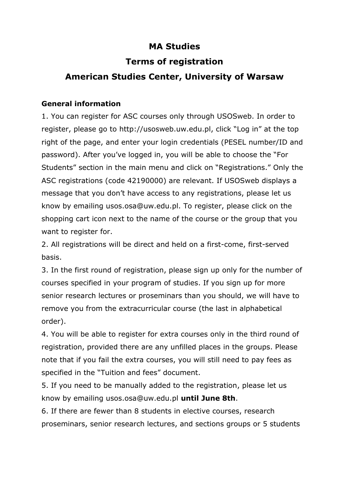# **MA Studies**

# **Terms of registration**

# **American Studies Center, University of Warsaw**

## **General information**

1. You can register for ASC courses only through USOSweb. In order to register, please go to http://usosweb.uw.edu.pl, click "Log in" at the top right of the page, and enter your login credentials (PESEL number/ID and password). After you've logged in, you will be able to choose the "For Students" section in the main menu and click on "Registrations." Only the ASC registrations (code 42190000) are relevant. If USOSweb displays a message that you don't have access to any registrations, please let us know by emailing usos.osa@uw.edu.pl. To register, please click on the shopping cart icon next to the name of the course or the group that you want to register for.

2. All registrations will be direct and held on a first-come, first-served basis.

3. In the first round of registration, please sign up only for the number of courses specified in your program of studies. If you sign up for more senior research lectures or proseminars than you should, we will have to remove you from the extracurricular course (the last in alphabetical order).

4. You will be able to register for extra courses only in the third round of registration, provided there are any unfilled places in the groups. Please note that if you fail the extra courses, you will still need to pay fees as specified in the "Tuition and fees" document.

5. If you need to be manually added to the registration, please let us know by emailing usos.osa@uw.edu.pl **until June 8th**.

6. If there are fewer than 8 students in elective courses, research proseminars, senior research lectures, and sections groups or 5 students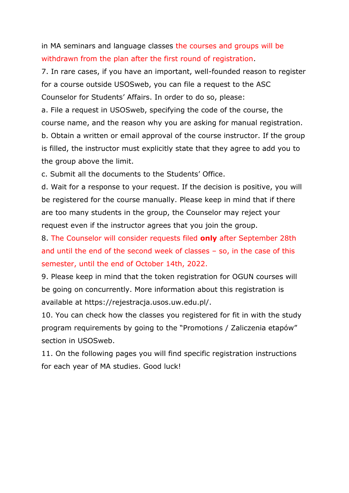in MA seminars and language classes the courses and groups will be withdrawn from the plan after the first round of registration.

7. In rare cases, if you have an important, well-founded reason to register for a course outside USOSweb, you can file a request to the ASC Counselor for Students' Affairs. In order to do so, please:

a. File a request in USOSweb, specifying the code of the course, the course name, and the reason why you are asking for manual registration. b. Obtain a written or email approval of the course instructor. If the group is filled, the instructor must explicitly state that they agree to add you to the group above the limit.

c. Submit all the documents to the Students' Office.

d. Wait for a response to your request. If the decision is positive, you will be registered for the course manually. Please keep in mind that if there are too many students in the group, the Counselor may reject your request even if the instructor agrees that you join the group.

8. The Counselor will consider requests filed **only** after September 28th and until the end of the second week of classes – so, in the case of this semester, until the end of October 14th, 2022.

9. Please keep in mind that the token registration for OGUN courses will be going on concurrently. More information about this registration is available at https://rejestracja.usos.uw.edu.pl/.

10. You can check how the classes you registered for fit in with the study program requirements by going to the "Promotions / Zaliczenia etapów" section in USOSweb.

11. On the following pages you will find specific registration instructions for each year of MA studies. Good luck!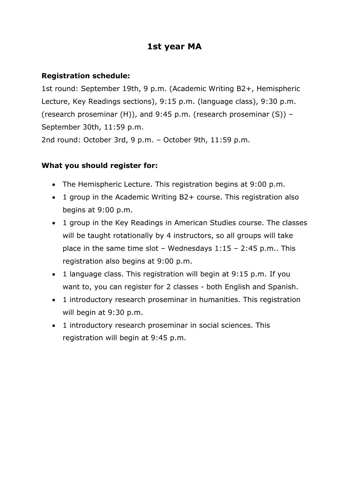## **1st year MA**

## **Registration schedule:**

1st round: September 19th, 9 p.m. (Academic Writing B2+, Hemispheric Lecture, Key Readings sections), 9:15 p.m. (language class), 9:30 p.m. (research proseminar (H)), and 9:45 p.m. (research proseminar (S)) – September 30th, 11:59 p.m.

2nd round: October 3rd, 9 p.m. – October 9th, 11:59 p.m.

#### **What you should register for:**

- The Hemispheric Lecture. This registration begins at 9:00 p.m.
- 1 group in the Academic Writing B2+ course. This registration also begins at 9:00 p.m.
- 1 group in the Key Readings in American Studies course. The classes will be taught rotationally by 4 instructors, so all groups will take place in the same time slot – Wednesdays  $1:15 - 2:45$  p.m.. This registration also begins at 9:00 p.m.
- 1 language class. This registration will begin at 9:15 p.m. If you want to, you can register for 2 classes - both English and Spanish.
- 1 introductory research proseminar in humanities. This registration will begin at 9:30 p.m.
- 1 introductory research proseminar in social sciences. This registration will begin at 9:45 p.m.